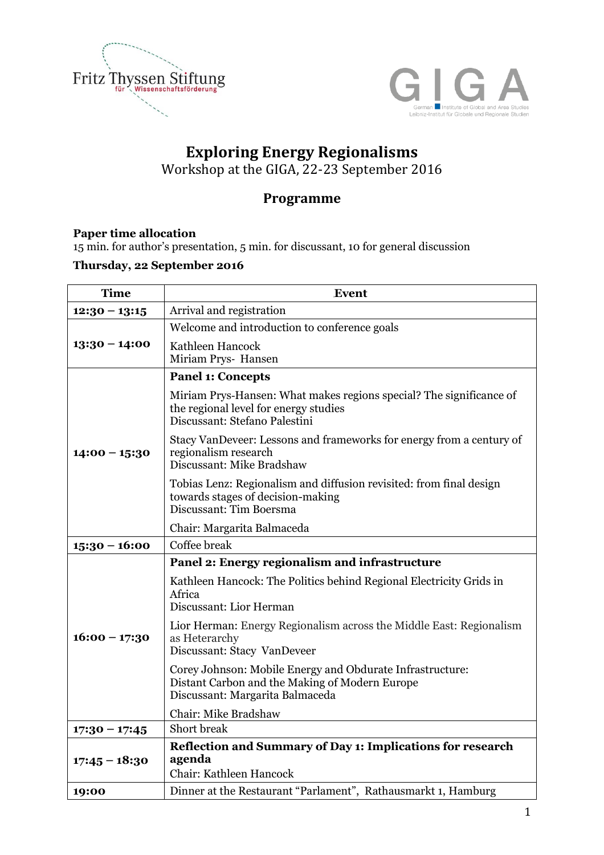



# **Exploring Energy Regionalisms**

Workshop at the GIGA, 22-23 September 2016

## **Programme**

### **Paper time allocation**

15 min. for author's presentation, 5 min. for discussant, 10 for general discussion

### **Thursday, 22 September 2016**

| <b>Time</b>     | Event                                                                                                                                          |
|-----------------|------------------------------------------------------------------------------------------------------------------------------------------------|
| $12:30 - 13:15$ | Arrival and registration                                                                                                                       |
|                 | Welcome and introduction to conference goals                                                                                                   |
| $13:30 - 14:00$ | Kathleen Hancock<br>Miriam Prys- Hansen                                                                                                        |
|                 | <b>Panel 1: Concepts</b>                                                                                                                       |
|                 | Miriam Prys-Hansen: What makes regions special? The significance of<br>the regional level for energy studies<br>Discussant: Stefano Palestini  |
| $14:00 - 15:30$ | Stacy VanDeveer: Lessons and frameworks for energy from a century of<br>regionalism research<br>Discussant: Mike Bradshaw                      |
|                 | Tobias Lenz: Regionalism and diffusion revisited: from final design<br>towards stages of decision-making<br>Discussant: Tim Boersma            |
|                 | Chair: Margarita Balmaceda                                                                                                                     |
| $15:30 - 16:00$ | Coffee break                                                                                                                                   |
|                 | Panel 2: Energy regionalism and infrastructure                                                                                                 |
|                 | Kathleen Hancock: The Politics behind Regional Electricity Grids in<br>Africa<br>Discussant: Lior Herman                                       |
| $16:00 - 17:30$ | Lior Herman: Energy Regionalism across the Middle East: Regionalism<br>as Heterarchy<br>Discussant: Stacy VanDeveer                            |
|                 | Corey Johnson: Mobile Energy and Obdurate Infrastructure:<br>Distant Carbon and the Making of Modern Europe<br>Discussant: Margarita Balmaceda |
|                 | Chair: Mike Bradshaw                                                                                                                           |
| $17:30 - 17:45$ | Short break                                                                                                                                    |
| $17:45 - 18:30$ | <b>Reflection and Summary of Day 1: Implications for research</b><br>agenda<br>Chair: Kathleen Hancock                                         |
| 19:00           | Dinner at the Restaurant "Parlament", Rathausmarkt 1, Hamburg                                                                                  |